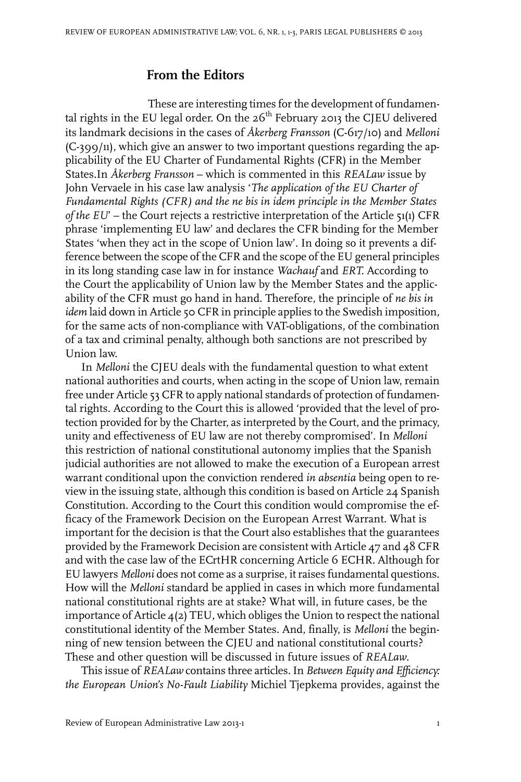## **From the Editors**

These are interesting times for the development of fundamental rights in the EU legal order. On the  $26<sup>th</sup>$  February 2013 the CJEU delivered its landmark decisions in the cases of *Åkerberg Fransson* (C-617/10) and *Melloni* (C-399/11), which give an answer to two important questions regarding the applicability of the EU Charter of Fundamental Rights (CFR) in the Member States.In *Åkerberg Fransson* – which is commented in this *REALaw* issue by John Vervaele in his case law analysis '*The application of the EU Charter of Fundamental Rights (CFR) and the ne bis in idem principle in the Member States of the EU*' – the Court rejects a restrictive interpretation of the Article 51(1) CFR phrase 'implementing EU law' and declares the CFR binding for the Member States 'when they act in the scope of Union law'. In doing so it prevents a difference between the scope of the CFR and the scope of the EU general principles in its long standing case law in for instance *Wachauf* and *ERT.* According to the Court the applicability of Union law by the Member States and the applicability of the CFR must go hand in hand. Therefore, the principle of *ne bis in idem* laid down in Article 50 CFR in principle applies to the Swedish imposition, for the same acts of non-compliance with VAT-obligations, of the combination of a tax and criminal penalty, although both sanctions are not prescribed by Union law.

In *Melloni* the CJEU deals with the fundamental question to what extent national authorities and courts, when acting in the scope of Union law, remain free under Article 53 CFR to apply national standards of protection of fundamental rights. According to the Court this is allowed 'provided that the level of protection provided for by the Charter, as interpreted by the Court, and the primacy, unity and effectiveness of EU law are not thereby compromised'. In *Melloni* this restriction of national constitutional autonomy implies that the Spanish judicial authorities are not allowed to make the execution of a European arrest warrant conditional upon the conviction rendered *in absentia* being open to review in the issuing state, although this condition is based on Article 24 Spanish Constitution. According to the Court this condition would compromise the efficacy of the Framework Decision on the European Arrest Warrant. What is important for the decision is that the Court also establishes that the guarantees provided by the Framework Decision are consistent with Article  $47$  and  $48$  CFR and with the case law of the ECrtHR concerning Article 6 ECHR. Although for EU lawyers *Melloni* does not come as a surprise, itraises fundamental questions. How will the *Melloni* standard be applied in cases in which more fundamental national constitutional rights are at stake? What will, in future cases, be the importance of Article 4(2) TEU, which obliges the Union to respect the national constitutional identity of the Member States. And, finally, is *Melloni* the beginning of new tension between the CJEU and national constitutional courts? These and other question will be discussed in future issues of *REALaw*.

This issue of *REALaw* contains three articles.In *Between Equity and Efficiency: the European Union's No-Fault Liability* Michiel Tjepkema provides, against the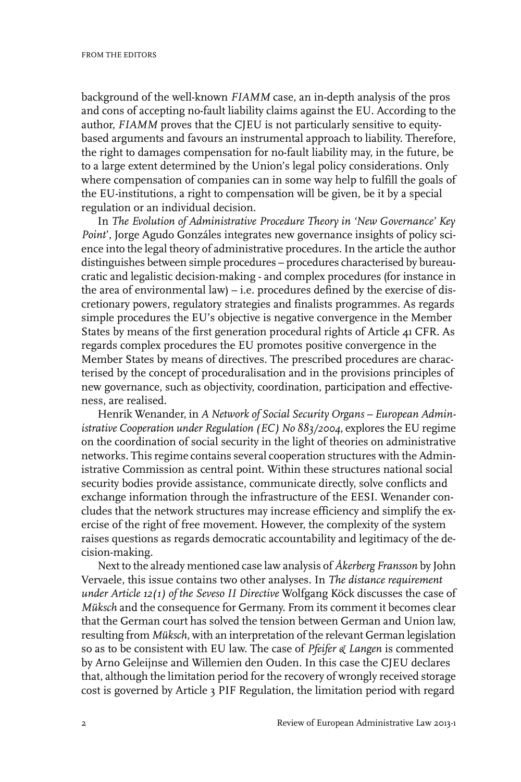background of the well-known *FIAMM* case, an in-depth analysis of the pros and cons of accepting no-fault liability claims against the EU. According to the author, *FIAMM* proves that the CJEU is not particularly sensitive to equitybased arguments and favours an instrumental approach to liability. Therefore, the right to damages compensation for no-fault liability may, in the future, be to a large extent determined by the Union's legal policy considerations. Only where compensation of companies can in some way help to fulfill the goals of the EU-institutions, a right to compensation will be given, be it by a special regulation or an individual decision.

In *The Evolution of Administrative Procedure Theory in 'New Governance' Key Point*', Jorge Agudo Gonzáles integrates new governance insights of policy science into the legal theory of administrative procedures. In the article the author distinguishes between simple procedures – procedures characterised by bureaucratic and legalistic decision-making - and complex procedures (for instance in the area of environmental law) – i.e. procedures defined by the exercise of discretionary powers, regulatory strategies and finalists programmes. As regards simple procedures the EU's objective is negative convergence in the Member States by means of the first generation procedural rights of Article 41 CFR. As regards complex procedures the EU promotes positive convergence in the Member States by means of directives. The prescribed procedures are characterised by the concept of proceduralisation and in the provisions principles of new governance, such as objectivity, coordination, participation and effectiveness, are realised.

Henrik Wenander, in *A Network of Social Security Organs – European Administrative Cooperation under Regulation (EC) No 883/2004*, explores the EU regime on the coordination of social security in the light of theories on administrative networks. This regime contains several cooperation structures with the Administrative Commission as central point. Within these structures national social security bodies provide assistance, communicate directly, solve conflicts and exchange information through the infrastructure of the EESI. Wenander concludes that the network structures may increase efficiency and simplify the exercise of the right of free movement. However, the complexity of the system raises questions as regards democratic accountability and legitimacy of the decision-making.

Next to the already mentioned case law analysis of *Åkerberg Fransson* by John Vervaele, this issue contains two other analyses. In *The distance requirement under Article 12(1) of the Seveso II Directive* Wolfgang Köck discusses the case of *Müksch* and the consequence for Germany. From its comment it becomes clear that the German court has solved the tension between German and Union law, resulting from *Müksch*, with an interpretation of the relevant German legislation so as to be consistent with EU law. The case of *Pfeifer & Langen* is commented by Arno Geleijnse and Willemien den Ouden. In this case the CJEU declares that, although the limitation period for the recovery of wrongly received storage cost is governed by Article 3 PIF Regulation, the limitation period with regard